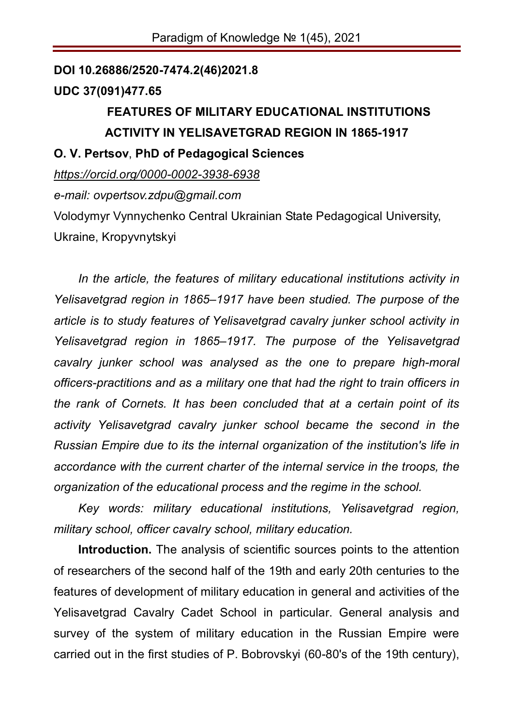### **DOI 10.26886/2520-7474.2(46)2021.8**

## **UDC 37(091)477.65**

# **FEATURES OF MILITARY EDUCATIONAL INSTITUTIONS ACTIVITY IN YELISAVETGRAD REGION IN 1865-1917 O. V. Pertsov**, **PhD of Pedagogical Sciences** *https://orcid.org/0000-0002-3938-6938 e-mail: ovpertsov.zdpu@gmail.com*

Volodymyr Vynnychenko Central Ukrainian State Pedagogical University, Ukraine, Kropyvnytskyi

*In the article, the features of military educational institutions activity in Yelisavetgrad region in 1865–1917 have been studied. The purpose of the article is to study features of Yelisavetgrad cavalry junker school activity in Yelisavetgrad region in 1865–1917. The purpose of the Yelisavetgrad cavalry junker school was analysed as the one to prepare high-moral officers-practitions and as a military one that had the right to train officers in the rank of Cornets. It has been concluded that at a certain point of its activity Yelisavetgrad cavalry junker school became the second in the Russian Empire due to its the internal organization of the institution's life in accordance with the current charter of the internal service in the troops, the organization of the educational process and the regime in the school.*

*Key words: military educational institutions, Yelisavetgrad region, military school, officer cavalry school, military education.*

**Introduction.** The analysis of scientific sources points to the attention of researchers of the second half of the 19th and early 20th centuries to the features of development of military education in general and activities of the Yelisavetgrad Cavalry Cadet School in particular. General analysis and survey of the system of military education in the Russian Empire were carried out in the first studies of P. Bobrovskyi (60-80's of the 19th century),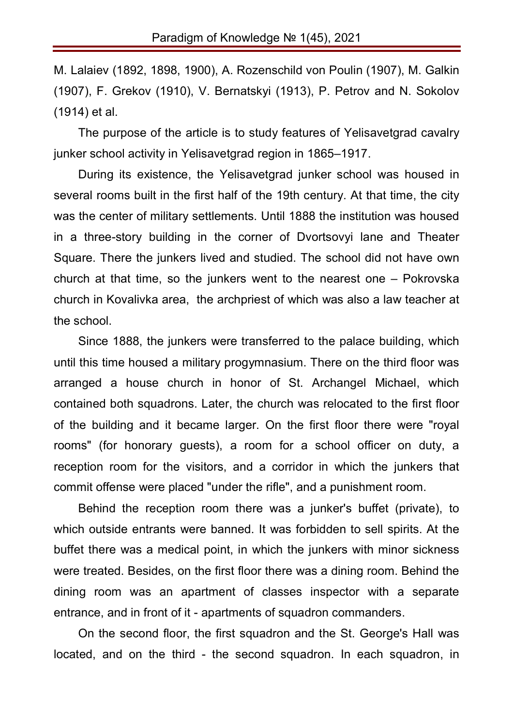M. Lalaiev (1892, 1898, 1900), A. Rozenschild von Poulin (1907), M. Galkin (1907), F. Grekov (1910), V. Bernatskyi (1913), P. Petrov and N. Sokolov (1914) et al.

The purpose of the article is to study features of Yelisavetgrad cavalry junker school activity in Yelisavetgrad region in 1865–1917.

During its existence, the Yelisavetgrad junker school was housed in several rooms built in the first half of the 19th century. At that time, the city was the center of military settlements. Until 1888 the institution was housed in a three-story building in the corner of Dvortsovyi lane and Theater Square. There the junkers lived and studied. The school did not have own church at that time, so the junkers went to the nearest one – Pokrovska church in Kovalivka area, the archpriest of which was also a law teacher at the school.

Since 1888, the junkers were transferred to the palace building, which until this time housed a military progymnasium. There on the third floor was arranged a house church in honor of St. Archangel Michael, which contained both squadrons. Later, the church was relocated to the first floor of the building and it became larger. On the first floor there were "royal rooms" (for honorary guests), a room for a school officer on duty, a reception room for the visitors, and a corridor in which the junkers that commit offense were placed "under the rifle", and a punishment room.

Behind the reception room there was a junker's buffet (private), to which outside entrants were banned. It was forbidden to sell spirits. At the buffet there was a medical point, in which the junkers with minor sickness were treated. Besides, on the first floor there was a dining room. Behind the dining room was an apartment of classes inspector with a separate entrance, and in front of it - apartments of squadron commanders.

On the second floor, the first squadron and the St. George's Hall was located, and on the third - the second squadron. In each squadron, in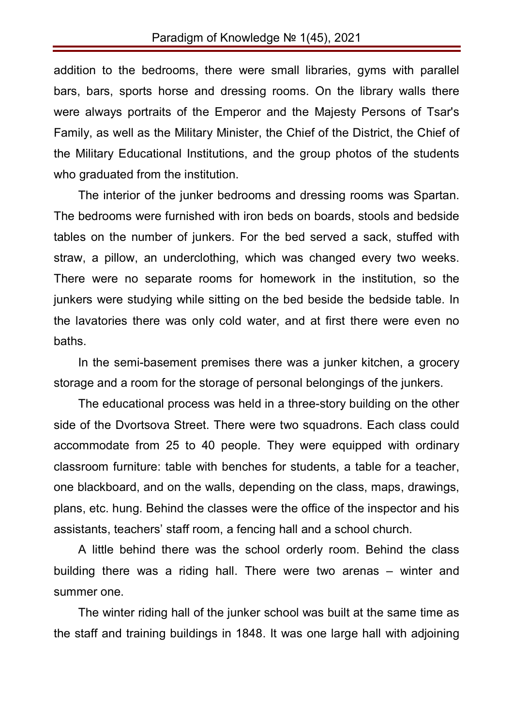addition to the bedrooms, there were small libraries, gyms with parallel bars, bars, sports horse and dressing rooms. On the library walls there were always portraits of the Emperor and the Majesty Persons of Tsar's Family, as well as the Military Minister, the Chief of the District, the Chief of the Military Educational Institutions, and the group photos of the students who graduated from the institution.

The interior of the junker bedrooms and dressing rooms was Spartan. The bedrooms were furnished with iron beds on boards, stools and bedside tables on the number of junkers. For the bed served a sack, stuffed with straw, a pillow, an underclothing, which was changed every two weeks. There were no separate rooms for homework in the institution, so the junkers were studying while sitting on the bed beside the bedside table. In the lavatories there was only cold water, and at first there were even no baths.

In the semi-basement premises there was a junker kitchen, a grocery storage and a room for the storage of personal belongings of the junkers.

The educational process was held in a three-story building on the other side of the Dvortsova Street. There were two squadrons. Each class could accommodate from 25 to 40 people. They were equipped with ordinary classroom furniture: table with benches for students, a table for a teacher, one blackboard, and on the walls, depending on the class, maps, drawings, plans, etc. hung. Behind the classes were the office of the inspector and his assistants, teachers' staff room, a fencing hall and a school church.

A little behind there was the school orderly room. Behind the class building there was a riding hall. There were two arenas – winter and summer one.

The winter riding hall of the junker school was built at the same time as the staff and training buildings in 1848. It was one large hall with adjoining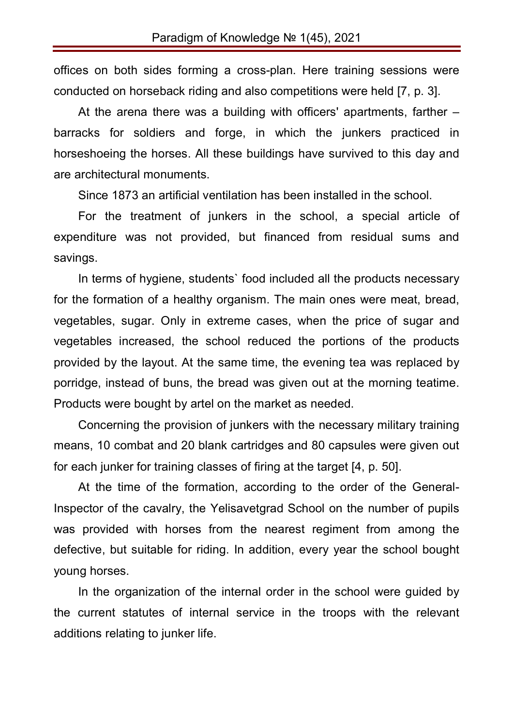offices on both sides forming a cross-plan. Here training sessions were conducted on horseback riding and also competitions were held [7, p. 3].

At the arena there was a building with officers' apartments, farther – barracks for soldiers and forge, in which the junkers practiced in horseshoeing the horses. All these buildings have survived to this day and are architectural monuments.

Since 1873 an artificial ventilation has been installed in the school.

For the treatment of junkers in the school, a special article of expenditure was not provided, but financed from residual sums and savings.

In terms of hygiene, students` food included all the products necessary for the formation of a healthy organism. The main ones were meat, bread, vegetables, sugar. Only in extreme cases, when the price of sugar and vegetables increased, the school reduced the portions of the products provided by the layout. At the same time, the evening tea was replaced by porridge, instead of buns, the bread was given out at the morning teatime. Products were bought by artel on the market as needed.

Concerning the provision of junkers with the necessary military training means, 10 combat and 20 blank cartridges and 80 capsules were given out for each junker for training classes of firing at the target [4, p. 50].

At the time of the formation, according to the order of the General-Inspector of the cavalry, the Yelisavetgrad School on the number of pupils was provided with horses from the nearest regiment from among the defective, but suitable for riding. In addition, every year the school bought young horses.

In the organization of the internal order in the school were guided by the current statutes of internal service in the troops with the relevant additions relating to junker life.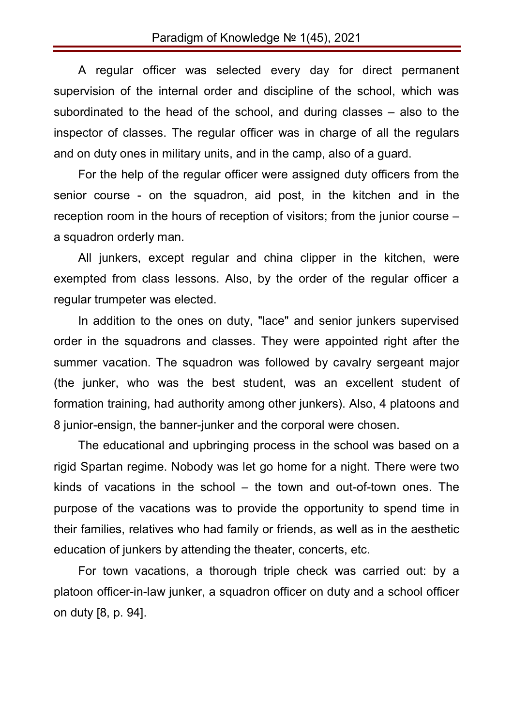A regular officer was selected every day for direct permanent supervision of the internal order and discipline of the school, which was subordinated to the head of the school, and during classes – also to the inspector of classes. The regular officer was in charge of all the regulars and on duty ones in military units, and in the camp, also of a guard.

For the help of the regular officer were assigned duty officers from the senior course - on the squadron, aid post, in the kitchen and in the reception room in the hours of reception of visitors; from the junior course – a squadron orderly man.

All junkers, except regular and china clipper in the kitchen, were exempted from class lessons. Also, by the order of the regular officer a regular trumpeter was elected.

In addition to the ones on duty, "lace" and senior junkers supervised order in the squadrons and classes. They were appointed right after the summer vacation. The squadron was followed by cavalry sergeant major (the junker, who was the best student, was an excellent student of formation training, had authority among other junkers). Also, 4 platoons and 8 junior-ensign, the banner-junker and the corporal were chosen.

The educational and upbringing process in the school was based on a rigid Spartan regime. Nobody was let go home for a night. There were two kinds of vacations in the school – the town and out-of-town ones. The purpose of the vacations was to provide the opportunity to spend time in their families, relatives who had family or friends, as well as in the aesthetic education of junkers by attending the theater, concerts, etc.

For town vacations, a thorough triple check was carried out: by a platoon officer-in-law junker, a squadron officer on duty and a school officer on duty [8, p. 94].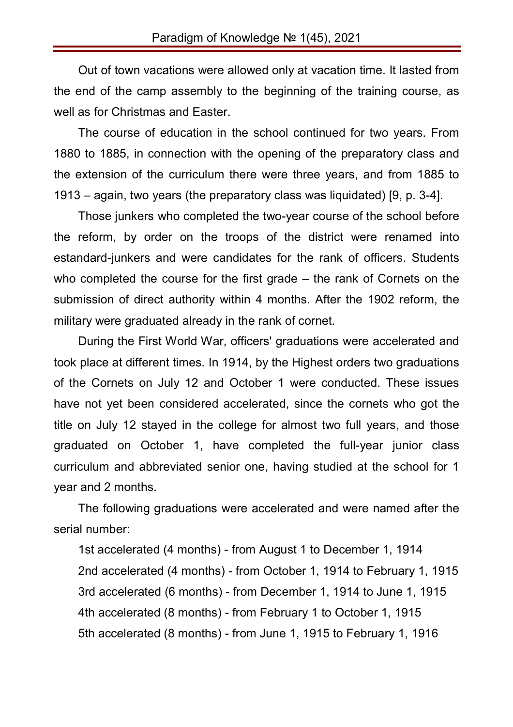Out of town vacations were allowed only at vacation time. It lasted from the end of the camp assembly to the beginning of the training course, as well as for Christmas and Easter.

The course of education in the school continued for two years. From 1880 to 1885, in connection with the opening of the preparatory class and the extension of the curriculum there were three years, and from 1885 to 1913 – again, two years (the preparatory class was liquidated) [9, p. 3-4].

Those junkers who completed the two-year course of the school before the reform, by order on the troops of the district were renamed into estandard-junkers and were candidates for the rank of officers. Students who completed the course for the first grade – the rank of Cornets on the submission of direct authority within 4 months. After the 1902 reform, the military were graduated already in the rank of cornet.

During the First World War, officers' graduations were accelerated and took place at different times. In 1914, by the Highest orders two graduations of the Cornets on July 12 and October 1 were conducted. These issues have not yet been considered accelerated, since the cornets who got the title on July 12 stayed in the college for almost two full years, and those graduated on October 1, have completed the full-year junior class curriculum and abbreviated senior one, having studied at the school for 1 year and 2 months.

The following graduations were accelerated and were named after the serial number:

1st accelerated (4 months) - from August 1 to December 1, 1914 2nd accelerated (4 months) - from October 1, 1914 to February 1, 1915 3rd accelerated (6 months) - from December 1, 1914 to June 1, 1915 4th accelerated (8 months) - from February 1 to October 1, 1915 5th accelerated (8 months) - from June 1, 1915 to February 1, 1916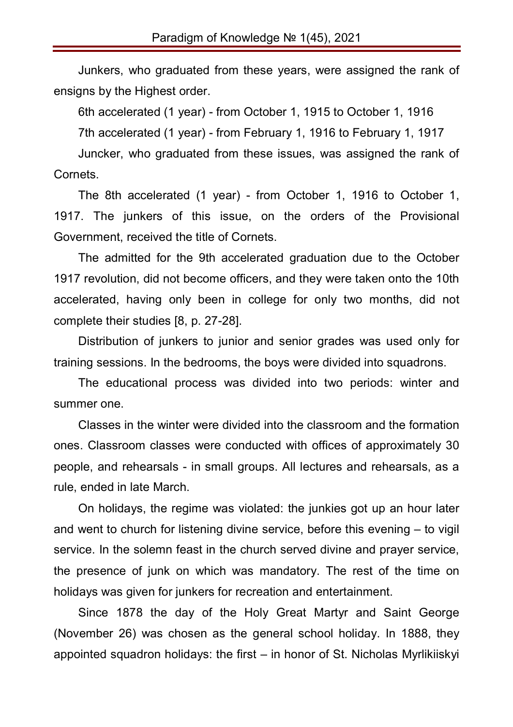Junkers, who graduated from these years, were assigned the rank of ensigns by the Highest order.

6th accelerated (1 year) - from October 1, 1915 to October 1, 1916

7th accelerated (1 year) - from February 1, 1916 to February 1, 1917

Juncker, who graduated from these issues, was assigned the rank of Cornets.

The 8th accelerated (1 year) - from October 1, 1916 to October 1, 1917. The junkers of this issue, on the orders of the Provisional Government, received the title of Cornets.

The admitted for the 9th accelerated graduation due to the October 1917 revolution, did not become officers, and they were taken onto the 10th accelerated, having only been in college for only two months, did not complete their studies [8, p. 27-28].

Distribution of junkers to junior and senior grades was used only for training sessions. In the bedrooms, the boys were divided into squadrons.

The educational process was divided into two periods: winter and summer one.

Classes in the winter were divided into the classroom and the formation ones. Classroom classes were conducted with offices of approximately 30 people, and rehearsals - in small groups. All lectures and rehearsals, as a rule, ended in late March.

On holidays, the regime was violated: the junkies got up an hour later and went to church for listening divine service, before this evening – to vigil service. In the solemn feast in the church served divine and prayer service, the presence of junk on which was mandatory. The rest of the time on holidays was given for junkers for recreation and entertainment.

Since 1878 the day of the Holy Great Martyr and Saint George (November 26) was chosen as the general school holiday. In 1888, they appointed squadron holidays: the first – in honor of St. Nicholas Myrlikiiskyi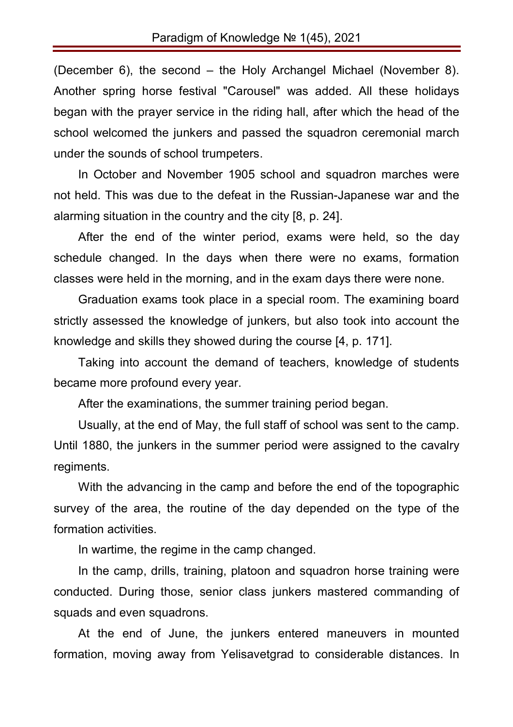(December 6), the second – the Holy Archangel Michael (November 8). Another spring horse festival "Carousel" was added. All these holidays began with the prayer service in the riding hall, after which the head of the school welcomed the junkers and passed the squadron ceremonial march under the sounds of school trumpeters.

In October and November 1905 school and squadron marches were not held. This was due to the defeat in the Russian-Japanese war and the alarming situation in the country and the city [8, p. 24].

After the end of the winter period, exams were held, so the day schedule changed. In the days when there were no exams, formation classes were held in the morning, and in the exam days there were none.

Graduation exams took place in a special room. The examining board strictly assessed the knowledge of junkers, but also took into account the knowledge and skills they showed during the course [4, p. 171].

Taking into account the demand of teachers, knowledge of students became more profound every year.

After the examinations, the summer training period began.

Usually, at the end of May, the full staff of school was sent to the camp. Until 1880, the junkers in the summer period were assigned to the cavalry regiments.

With the advancing in the camp and before the end of the topographic survey of the area, the routine of the day depended on the type of the formation activities.

In wartime, the regime in the camp changed.

In the camp, drills, training, platoon and squadron horse training were conducted. During those, senior class junkers mastered commanding of squads and even squadrons.

At the end of June, the junkers entered maneuvers in mounted formation, moving away from Yelisavetgrad to considerable distances. In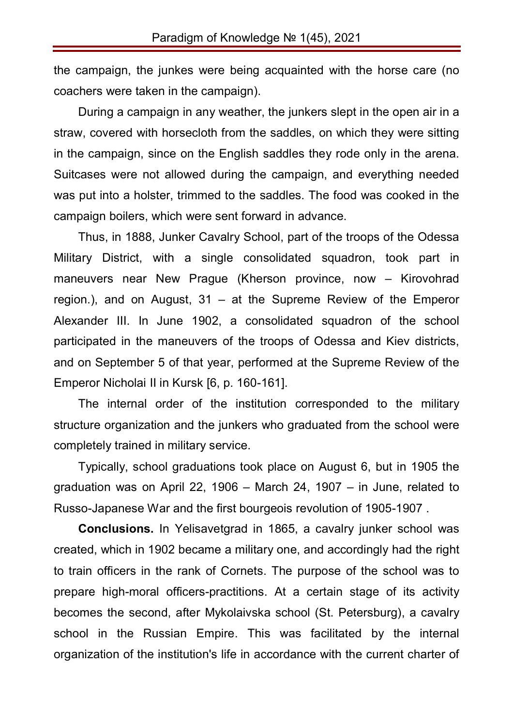the campaign, the junkes were being acquainted with the horse care (no coachers were taken in the campaign).

During a campaign in any weather, the junkers slept in the open air in a straw, covered with horsecloth from the saddles, on which they were sitting in the campaign, since on the English saddles they rode only in the arena. Suitcases were not allowed during the campaign, and everything needed was put into a holster, trimmed to the saddles. The food was cooked in the campaign boilers, which were sent forward in advance.

Thus, in 1888, Junker Cavalry School, part of the troops of the Odessa Military District, with a single consolidated squadron, took part in maneuvers near New Prague (Kherson province, now – Kirovohrad region.), and on August, 31 – at the Supreme Review of the Emperor Alexander III. In June 1902, a consolidated squadron of the school participated in the maneuvers of the troops of Odessa and Kiev districts, and on September 5 of that year, performed at the Supreme Review of the Emperor Nicholai II in Kursk [6, p. 160-161].

The internal order of the institution corresponded to the military structure organization and the junkers who graduated from the school were completely trained in military service.

Typically, school graduations took place on August 6, but in 1905 the graduation was on April 22, 1906 – March 24, 1907 – in June, related to Russo-Japanese War and the first bourgeois revolution of 1905-1907 .

**Conclusions.** In Yelisavetgrad in 1865, a cavalry junker school was created, which in 1902 became a military one, and accordingly had the right to train officers in the rank of Cornets. The purpose of the school was to prepare high-moral officers-practitions. At a certain stage of its activity becomes the second, after Mykolaivska school (St. Petersburg), a cavalry school in the Russian Empire. This was facilitated by the internal organization of the institution's life in accordance with the current charter of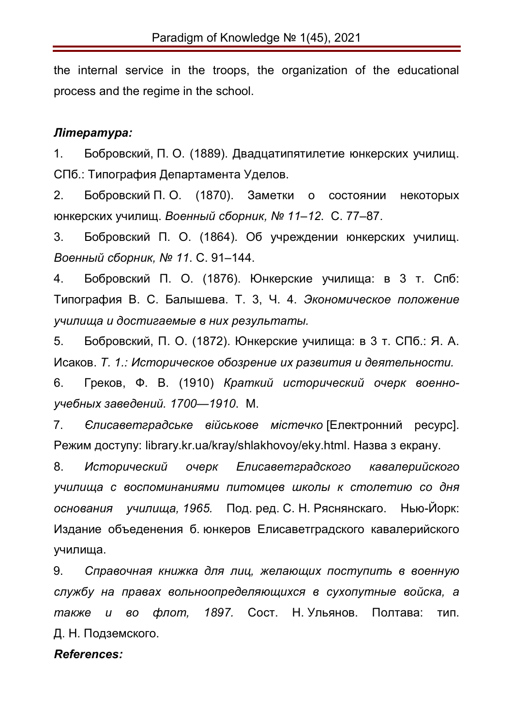the internal service in the troops, the organization of the educational process and the regime in the school.

### *Література:*

1. Бобровский, П. О. (1889). Двадцатипятилетие юнкерских училищ. СПб.: Типография Департамента Уделов.

2. Бобровский П. О. (1870). Заметки о состоянии некоторых юнкерских училищ. *Военный сборник, № 11–12*. С. 77–87.

3. Бобровский П. О. (1864). Об учреждении юнкерских училищ. *Военный сборник, № 11*. С. 91–144.

4. Бобровский П. О. (1876). Юнкерские училища: в 3 т. Спб: Типография В. С. Балышева. Т. 3, Ч. 4. *Экономическое положение училища и достигаемые в них результаты.*

5. Бобровский, П. О. (1872). Юнкерские училища: в 3 т. СПб.: Я. А. Исаков. *Т. 1.: Историческое обозрение их развития и деятельности.*

6. Греков, Ф. В. (1910) *Краткий исторический очерк военноучебных заведений. 1700—1910*. М.

7. *Єлисаветградське військове містечко* [Електронний ресурс]. Режим доступу: library.kr.ua/kray/shlakhovoy/eky.html. Назва з екрану.

8. *Исторический очерк Елисаветградского кавалерийского училища с воспоминаниями питомцев школы к столетию со дня основания училища, 1965.* Под. ред. С. Н. Ряснянскаго. Нью-Йорк: Издание объеденения б. юнкеров Елисаветградского кавалерийского училища.

9. *Справочная книжка для лиц, желающих поступить в военную службу на правах вольноопределяющихся в сухопутные войска, а также и во флот, 1897.* Сост. Н. Ульянов. Полтава: тип. Д. Н. Подземского.

#### *References:*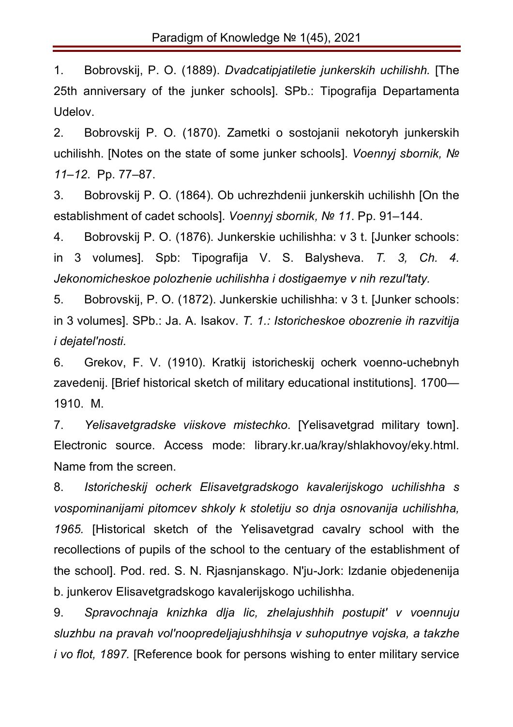1. Bobrovskij, P. O. (1889). *Dvadcatipjatiletie junkerskih uchilishh.* [The 25th anniversary of the junker schools]. SPb.: Tipografija Departamenta Udelov.

2. Bobrovskij P. O. (1870). Zametki o sostojanii nekotoryh junkerskih uchilishh. [Notes on the state of some junker schools]. *Voennyj sbornik, № 11–12*. Pp. 77–87.

3. Bobrovskij P. O. (1864). Ob uchrezhdenii junkerskih uchilishh [On the establishment of cadet schools]. *Voennyj sbornik, № 11*. Pp. 91–144.

4. Bobrovskij P. O. (1876). Junkerskie uchilishha: v 3 t. [Junker schools: in 3 volumes]. Spb: Tipografija V. S. Balysheva. *T. 3, Ch. 4. Jekonomicheskoe polozhenie uchilishha i dostigaemye v nih rezul'taty.*

5. Bobrovskij, P. O. (1872). Junkerskie uchilishha: v 3 t. [Junker schools: in 3 volumes]. SPb.: Ja. A. Isakov. *T. 1.: Istoricheskoe obozrenie ih razvitija i dejatel'nosti.* 

6. Grekov, F. V. (1910). Kratkij istoricheskij ocherk voenno-uchebnyh zavedenij. [Brief historical sketch of military educational institutions]. 1700— 1910. M.

7. *Yelisavetgradske vіiskove mіstechko*. [Yelisavetgrad military town]. Electronic source. Access mode: library.kr.ua/kray/shlakhovoy/eky.html. Name from the screen.

8. *Istoricheskij ocherk Elisavetgradskogo kavalerijskogo uchilishha s vospominanijami pitomcev shkoly k stoletiju so dnja osnovanija uchilishha, 1965.* [Historical sketch of the Yelisavetgrad cavalry school with the recollections of pupils of the school to the centuary of the establishment of the school]. Pod. red. S. N. Rjasnjanskago. N'ju-Jork: Izdanie objedenenija b. junkerov Elisavetgradskogo kavalerijskogo uchilishha.

9. *Spravochnaja knizhka dlja lic, zhelajushhih postupit' v voennuju sluzhbu na pravah vol'noopredeljajushhihsja v suhoputnye vojska, a takzhe i vo flot, 1897.* [Reference book for persons wishing to enter military service